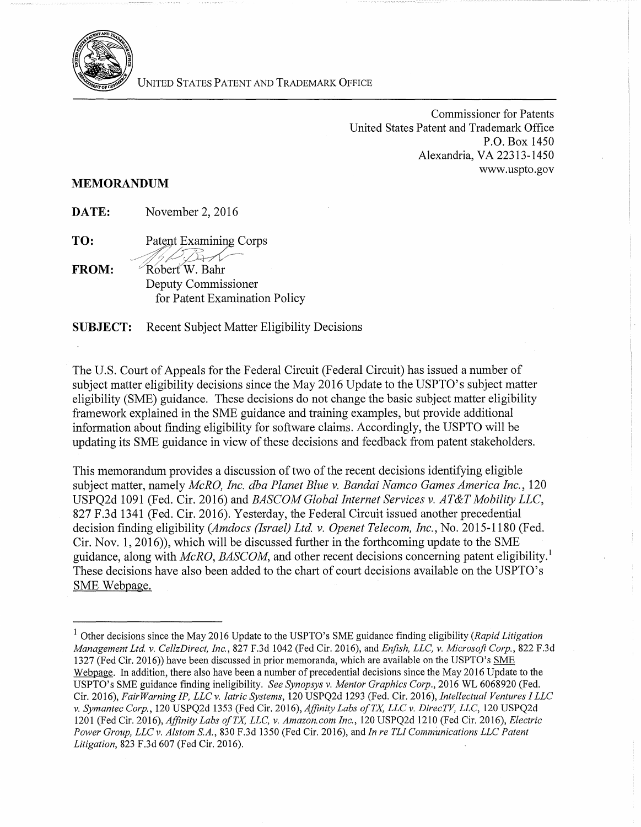

UNITED STATES PATENT AND TRADEMARK OFFICE

Commissioner for Patents United States Patent and Trademark Office P.O. Box 1450 Alexandria, VA 22313-1450 www.uspto.gov

## **MEMORANDUM**

**DATE:** November 2, 2016

**TO:**  Patent Examining Corps

 $\oslash$  B Robert W. Bahr **FROM:**  Deputy Commissioner for Patent Examination Policy

**SUBJECT:** Recent Subject Matter Eligibility Decisions

The U.S. Court of Appeals for the Federal Circuit (Federal Circuit) has issued a number of subject matter eligibility decisions since the May 2016 Update to the USPTO's subject matter eligibility (SME) guidance. These decisions do not change the basic subject matter eligibility framework explained in the SME guidance and training examples, but provide additional information about finding eligibility for software claims. Accordingly, the USPTO will be updating its SME guidance in view of these decisions and feedback from patent stakeholders.

This memorandum provides a discussion of two of the recent decisions identifying eligible subject matter, namely *McRO, Inc. dba Planet Blue v. Bandai Namco Games America Inc.,* 120 USPQ2d 1091 (Fed. Cir. 2016) and *BASCOM Global Internet Services v. AT&T Mobility LLC,*  827 F .3d 1341 (Fed. Cir. 2016). Yesterday, the Federal Circuit issued another precedential decision finding eligibility *(Amdocs (Israel) Ltd. v. Openet Telecom, Inc.,* No. 2015-1180 (Fed. Cir. Nov. 1, 2016)), which will be discussed further in the forthcoming update to the SME guidance, along with *McRO, BASCOM,* and other recent decisions concerning patent eligibility. 1 These decisions have also been added to the chart of court decisions available on the USPTO's SME Webpage.

<sup>1</sup> Other decisions since the May 2016 Update to the USPTO's SME guidance finding eligibility *(Rapid Litigation Management Ltd v. CellzDirect, Inc.,* 827 F.3d 1042 (Fed Cir. 2016), and *Enfish, LLC, v. Microsoft Corp.,* 822 F.3d 1327 (Fed Cir. 2016)) have been discussed in prior memoranda, which are available on the USPTO's SME Webpage. In addition, there also have been a number of precedential decisions since the May 2016 Update to the USPTO's SME guidance finding ineligibility. *See Synopsys v. Mentor Graphics Corp.,* 2016 WL 6068920 (Fed. Cir. 2016), *Fair Warning IP, LLC v. Iatric Systems,* 120 USPQ2d 1293 (Fed. Cir. 2016), *Intellectual Ventures I LLC v. Symantec Corp.,* 120 USPQ2d 1353 (Fed Cir. 2016), *Affinity Labs ofTX, LLC v. DirecTV, LLC,* 120 USPQ2d 1201 (Fed Cir. 2016), *Affinity Labs ofTX, LLC, v. Amazon.com Inc.,* 120 USPQ2d 1210 (Fed Cir. 2016), *Electric Power Group, LLC v. Alstom S.A.,* 830 F.3d 1350 (Fed Cir. 2016), and *In re TL! Communications LLC Patent Litigation,* 823 F.3d 607 (Fed Cir. 2016).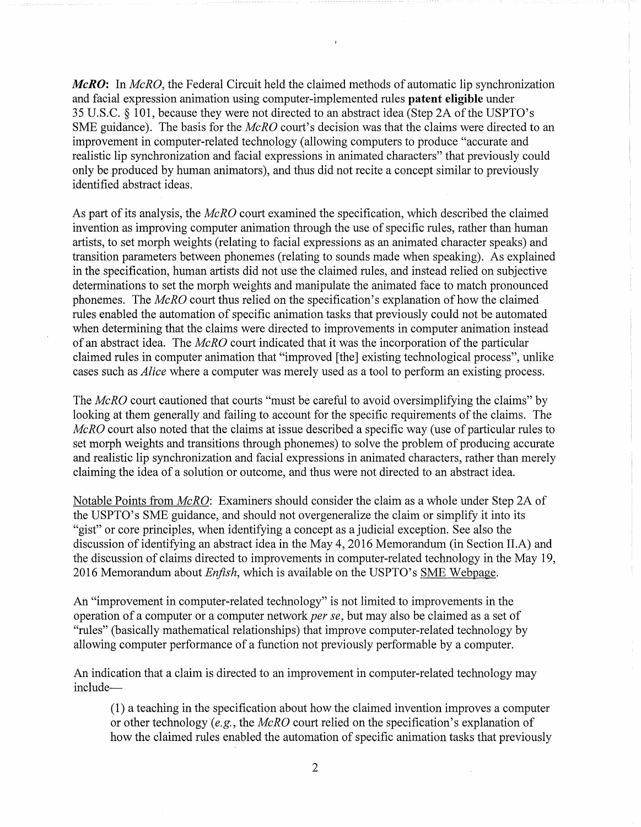*McRO:* In *McRO,* the Federal Circuit held the claimed methods of automatic lip synchronization and facial expression animation using computer-implemented rules **patent eligible** under 35 U.S.C.  $\S$  101, because they were not directed to an abstract idea (Step 2A of the USPTO's SME guidance). The basis for the *McRO* court's decision was that the claims were directed to an improvement in computer-related technology (allowing computers to produce "accurate and realistic lip synchronization and facial expressions in animated characters" that previously could only be produced by human animators), and thus did not recite a concept similar to previously identified abstract ideas.

As part of its analysis, the *McRO* court examined the specification, which described the claimed invention as improving computer animation through the use of specific rules, rather than human artists, to set morph weights (relating to facial expressions as an animated character speaks) and transition parameters between phonemes (relating to sounds made when speaking). As explained in the specification, human artists did not use the claimed rules, and instead relied on subjective determinations to set the morph weights and manipulate the animated face to match pronounced phonemes. The *McRO* court thus relied on the specification's explanation of how the claimed rules enabled the automation of specific animation tasks that previously could not be automated when determining that the claims were directed to improvements in computer animation instead of an abstract idea. The *McRO* court indicated that it was the incorporation ofthe particular claimed rules in computer animation that "improved [the] existing technological process", unlike cases such as *Alice* where a computer was merely used as a tool to perform an existing process.

The *McRO* court cautioned that courts "must be careful to avoid oversimplifying the claims" by looking at them generally and failing to account for the specific requirements of the claims. The *McRO* court also noted that the claims at issue described a specific way (use of particular rules to set morph weights and transitions through phonemes) to solve the problem of producing accurate and realistic lip synchronization and facial expressions in animated characters, rather than merely claiming the idea of a solution or outcome, and thus were not directed to an abstract idea.

Notable Points from *McRO:* Examiners should consider the claim as a whole under Step 2A of the USPTO's SME guidance, and should not overgeneralize the claim or simplify it into its "gist" or core principles, when identifying a concept as a judicial exception. See also the discussion of identifying an abstract idea in the May 4, 2016 Memorandum (in Section II.A) and the discussion of claims directed to improvements in computer-related technology in the May 19, 2016 Memorandum about *Enfish,* which is available on the USPTO's SME Webpage.

An "improvement in computer-related technology" is not limited to improvements in the operation of a computer or a computer network *per se,* but may also be claimed as a set of "rules" (basically mathematical relationships) that improve computer-related technology by allowing computer performance of a function not previously performable by a computer.

An indication that a claim is directed to an improvement in computer-related technology may include

(1) a teaching in the specification about how the claimed invention improves a computer or other technology *(e.g.,* the *McRO* court relied on the specification's explanation of how the claimed rules enabled the automation of specific animation tasks that previously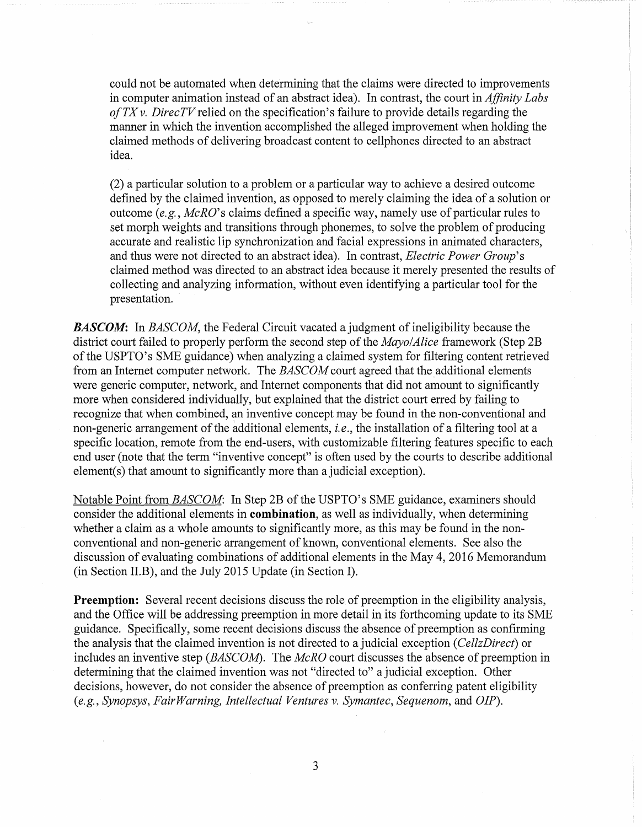could not be automated when determining that the claims were directed to improvements in computer animation instead of an abstract idea). In contrast, the court in *Affinity Labs ofTX v. DirecTVrelied* on the specification's failure to provide details regarding the manner in which the invention accomplished the alleged improvement when holding the claimed methods of delivering broadcast content to cellphones directed to an abstract idea.

(2) a particular solution to a problem or a particular way to achieve a desired outcome defined by the claimed invention, as opposed to merely claiming the idea of a solution or outcome *(e.g., McRO's* claims defined a specific way, namely use of particular rules to set morph weights and transitions through phonemes, to solve the problem of producing accurate and realistic lip synchronization and facial expressions in animated characters, and thus were not directed to an abstract idea). In contrast, *Electric Power Group's*  claimed method was directed to an abstract idea because it merely presented the results of collecting and analyzing information, without even identifying a particular tool for the presentation.

**BASCOM:** In *BASCOM*, the Federal Circuit vacated a judgment of ineligibility because the district court failed to properly perform the second step of the *Mayo/Alice* framework (Step 2B) of the USPTO's SME guidance) when analyzing a claimed system for filtering content retrieved from an Internet computer network. The *BASCOM* court agreed that the additional elements were generic computer, network, and Internet components that did not amount to significantly more when considered individually, but explained that the district court erred by failing to recognize that when combined, an inventive concept may be found in the non-conventional and non-generic arrangement of the additional elements, *i.e.*, the installation of a filtering tool at a specific location, remote from the end-users, with customizable filtering features specific to each end user (note that the term "inventive concept" is often used by the courts to describe additional element(s) that amount to significantly more than a judicial exception).

Notable Point from *BASCOM*: In Step 2B of the USPTO's SME guidance, examiners should consider the additional elements in **combination,** as well as individually, when determining whether a claim as a whole amounts to significantly more, as this may be found in the nonconventional and non-generic arrangement of known, conventional elements. See also the discussion of evaluating combinations of additional elements in the May 4, 2016 Memorandum (in Section Il.B), and the July 2015 Update (in Section I).

**Preemption:** Several recent decisions discuss the role of preemption in the eligibility analysis, and the Office will be addressing preemption in more detail in its forthcoming update to its SME guidance. Specifically, some recent decisions discuss the absence of preemption as confirming the analysis that the claimed invention is not directed to a judicial exception ( *CellzDirect)* or includes an inventive step *(BASCOM).* The *McRO* court discusses the absence of preemption in determining that the claimed invention was not "directed to" a judicial exception. Other decisions, however, do not consider the absence of preemption as conferring patent eligibility *(e.g., Synopsys, Fair Warning, Intellectual Ventures v. Symantec, Sequenom,* and *OIP).* 

3